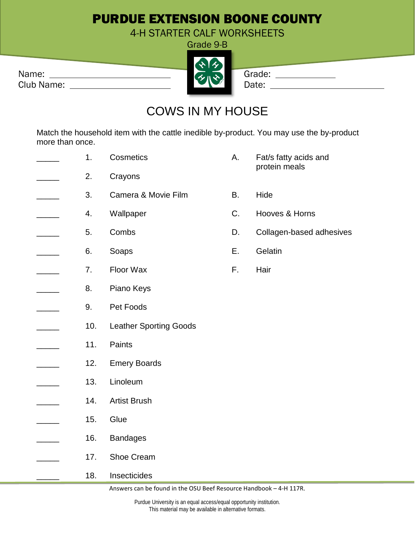## PURDUE EXTENSION BOONE COUNTY

4-H STARTER CALF WORKSHEETS

Grade 9-B

| Name:      | $\sim$ 11 $\sim$ 1 | Grade |
|------------|--------------------|-------|
| Club Name: |                    | Date: |

Grade: \_\_\_\_\_\_\_\_\_\_\_\_\_\_

## COWS IN MY HOUSE

Match the household item with the cattle inedible by-product. You may use the by-product more than once.

1. Cosmetics **A.** Fat/s fatty acids and protein meals 2. Crayons 3. Camera & Movie Film B. Hide 4. Wallpaper C. Hooves & Horns 5. Combs D. Collagen-based adhesives \_\_\_\_\_\_ 6. Soaps E. Gelatin 7. Floor Wax F. Hair 8. Piano Keys \_\_\_\_\_ 9. Pet Foods 10. Leather Sporting Goods \_\_\_\_\_ 11. Paints 12. Emery Boards \_\_\_\_\_ 13. Linoleum 14. Artist Brush 15. Glue 16. Bandages 17. Shoe Cream 18. Insecticides

Answers can be found in the OSU Beef Resource Handbook – 4-H 117R.